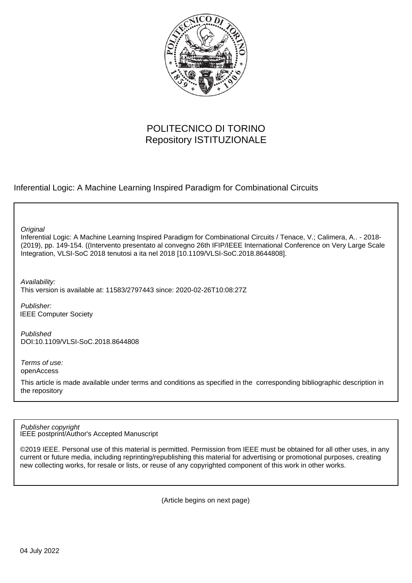

# POLITECNICO DI TORINO Repository ISTITUZIONALE

Inferential Logic: A Machine Learning Inspired Paradigm for Combinational Circuits

**Original** 

Inferential Logic: A Machine Learning Inspired Paradigm for Combinational Circuits / Tenace, V.; Calimera, A.. - 2018- (2019), pp. 149-154. ((Intervento presentato al convegno 26th IFIP/IEEE International Conference on Very Large Scale Integration, VLSI-SoC 2018 tenutosi a ita nel 2018 [10.1109/VLSI-SoC.2018.8644808].

Availability:

This version is available at: 11583/2797443 since: 2020-02-26T10:08:27Z

Publisher: IEEE Computer Society

Published DOI:10.1109/VLSI-SoC.2018.8644808

Terms of use: openAccess

This article is made available under terms and conditions as specified in the corresponding bibliographic description in the repository

IEEE postprint/Author's Accepted Manuscript Publisher copyright

©2019 IEEE. Personal use of this material is permitted. Permission from IEEE must be obtained for all other uses, in any current or future media, including reprinting/republishing this material for advertising or promotional purposes, creating new collecting works, for resale or lists, or reuse of any copyrighted component of this work in other works.

(Article begins on next page)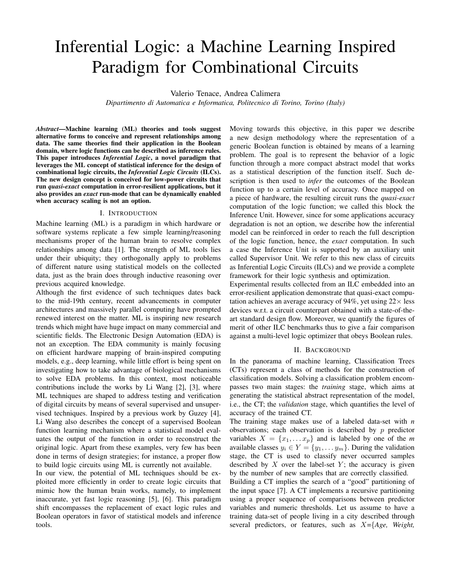# Inferential Logic: a Machine Learning Inspired Paradigm for Combinational Circuits

Valerio Tenace, Andrea Calimera

*Dipartimento di Automatica e Informatica, Politecnico di Torino, Torino (Italy)*

*Abstract*—Machine learning (ML) theories and tools suggest alternative forms to conceive and represent relationships among data. The same theories find their application in the Boolean domain, where logic functions can be described as inference rules. This paper introduces *Inferential Logic*, a novel paradigm that leverages the ML concept of statistical inference for the design of combinational logic circuits, the *Inferential Logic Circuits* (ILCs). The new design concept is conceived for low-power circuits that run *quasi-exact* computation in error-resilient applications, but it also provides an *exact* run-mode that can be dynamically enabled when accuracy scaling is not an option.

#### I. INTRODUCTION

Machine learning (ML) is a paradigm in which hardware or software systems replicate a few simple learning/reasoning mechanisms proper of the human brain to resolve complex relationships among data [1]. The strength of ML tools lies under their ubiquity; they orthogonally apply to problems of different nature using statistical models on the collected data, just as the brain does through inductive reasoning over previous acquired knowledge.

Although the first evidence of such techniques dates back to the mid-19th century, recent advancements in computer architectures and massively parallel computing have prompted renewed interest on the matter. ML is inspiring new research trends which might have huge impact on many commercial and scientific fields. The Electronic Design Automation (EDA) is not an exception. The EDA community is mainly focusing on efficient hardware mapping of brain-inspired computing models, e.g., deep learning, while little effort is being spent on investigating how to take advantage of biological mechanisms to solve EDA problems. In this context, most noticeable contributions include the works by Li Wang [2], [3], where ML techniques are shaped to address testing and verification of digital circuits by means of several supervised and unsupervised techniques. Inspired by a previous work by Guzey [4], Li Wang also describes the concept of a supervised Boolean function learning mechanism where a statistical model evaluates the output of the function in order to reconstruct the original logic. Apart from these examples, very few has been done in terms of design strategies; for instance, a proper flow to build logic circuits using ML is currently not available.

In our view, the potential of ML techniques should be exploited more efficiently in order to create logic circuits that mimic how the human brain works, namely, to implement inaccurate, yet fast logic reasoning [5], [6]. This paradigm shift encompasses the replacement of exact logic rules and Boolean operators in favor of statistical models and inference tools.

Moving towards this objective, in this paper we describe a new design methodology where the representation of a generic Boolean function is obtained by means of a learning problem. The goal is to represent the behavior of a logic function through a more compact abstract model that works as a statistical description of the function itself. Such description is then used to *infer* the outcomes of the Boolean function up to a certain level of accuracy. Once mapped on a piece of hardware, the resulting circuit runs the *quasi-exact* computation of the logic function; we called this block the Inference Unit. However, since for some applications accuracy degradation is not an option, we describe how the inferential model can be reinforced in order to reach the full description of the logic function, hence, the *exact* computation. In such a case the Inference Unit is supported by an auxiliary unit called Supervisor Unit. We refer to this new class of circuits as Inferential Logic Circuits (ILCs) and we provide a complete framework for their logic synthesis and optimization.

Experimental results collected from an ILC embedded into an error-resilient application demonstrate that quasi-exact computation achieves an average accuracy of 94%, yet using  $22 \times$  less devices w.r.t. a circuit counterpart obtained with a state-of-theart standard design flow. Moreover, we quantify the figures of merit of other ILC benchmarks thus to give a fair comparison against a multi-level logic optimizer that obeys Boolean rules.

# II. BACKGROUND

In the panorama of machine learning, Classification Trees (CTs) represent a class of methods for the construction of classification models. Solving a classification problem encompasses two main stages: the *training* stage, which aims at generating the statistical abstract representation of the model, i.e., the CT; the *validation* stage, which quantifies the level of accuracy of the trained CT.

The training stage makes use of a labeled data-set with *n* observations; each observation is described by  $p$  predictor variables  $X = \{x_1, \ldots x_p\}$  and is labeled by one of the *m* available classes  $y_i \in Y = \{y_1, \ldots y_m\}$ . During the validation stage, the CT is used to classify never occurred samples described by  $X$  over the label-set  $Y$ ; the accuracy is given by the number of new samples that are correctly classified.

Building a CT implies the search of a "good" partitioning of the input space [7]. A CT implements a recursive partitioning using a proper sequence of comparisons between predictor variables and numeric thresholds. Let us assume to have a training data-set of people living in a city described through several predictors, or features, such as X={*Age, Weight,*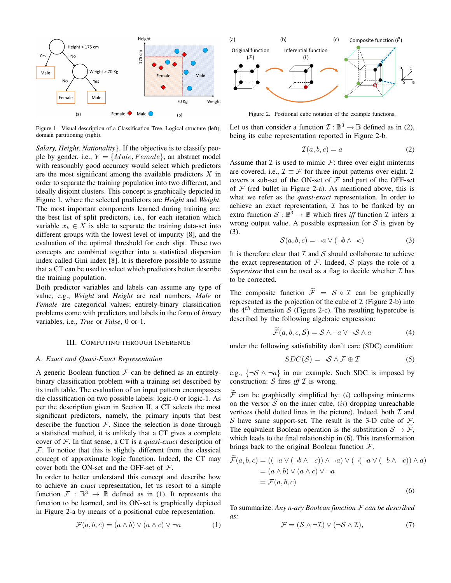

Figure 1. Visual description of a Classification Tree. Logical structure (left), domain partitioning (right).

*Salary, Height, Nationality*}. If the objective is to classify people by gender, i.e.,  $Y = \{Male, Female\}$ , an abstract model with reasonably good accuracy would select which predictors are the most significant among the available predictors  $X$  in order to separate the training population into two different, and ideally disjoint clusters. This concept is graphically depicted in Figure 1, where the selected predictors are *Height* and *Weight*. The most important components learned during training are: the best list of split predictors, i.e., for each iteration which variable  $x_k \in X$  is able to separate the training data-set into different groups with the lowest level of impurity [8], and the evaluation of the optimal threshold for each slipt. These two concepts are combined together into a statistical dispersion index called Gini index [8]. It is therefore possible to assume that a CT can be used to select which predictors better describe the training population.

Both predictor variables and labels can assume any type of value, e.g., *Weight* and *Height* are real numbers, *Male* or *Female* are categorical values; entirely-binary classification problems come with predictors and labels in the form of *binary* variables, i.e., *True* or *False*, 0 or 1.

# III. COMPUTING THROUGH INFERENCE

#### *A. Exact and Quasi-Exact Representation*

A generic Boolean function  $F$  can be defined as an entirelybinary classification problem with a training set described by its truth table. The evaluation of an input pattern encompasses the classification on two possible labels: logic-0 or logic-1. As per the description given in Section II, a CT selects the most significant predictors, namely, the primary inputs that best describe the function  $F$ . Since the selection is done through a statistical method, it is unlikely that a CT gives a complete cover of F. In that sense, a CT is a *quasi-exact* description of  $F$ . To notice that this is slightly different from the classical concept of approximate logic function. Indeed, the CT may cover both the ON-set and the OFF-set of  $F$ .

In order to better understand this concept and describe how to achieve an *exact* representation, let us resort to a simple function  $\mathcal{F} : \mathbb{B}^3 \to \mathbb{B}$  defined as in (1). It represents the function to be learned, and its ON-set is graphically depicted in Figure 2-a by means of a positional cube representation.

$$
\mathcal{F}(a, b, c) = (a \wedge b) \vee (a \wedge c) \vee \neg a \tag{1}
$$



Figure 2. Positional cube notation of the example functions.

Let us then consider a function  $\mathcal{I}: \mathbb{B}^3 \to \mathbb{B}$  defined as in (2), being its cube representation reported in Figure 2-b.

$$
\mathcal{I}(a,b,c) = a \tag{2}
$$

Assume that  $\mathcal I$  is used to mimic  $\mathcal F$ : three over eight minterms are covered, i.e.,  $\mathcal{I} \equiv \mathcal{F}$  for three input patterns over eight.  $\mathcal{I}$ covers a sub-set of the ON-set of  $F$  and part of the OFF-set of  $F$  (red bullet in Figure 2-a). As mentioned above, this is what we refer as the *quasi-exact* representation. In order to achieve an exact representation,  $\mathcal I$  has to be flanked by an extra function  $S : \mathbb{B}^3 \to \mathbb{B}$  which fires *iff* function  $\mathcal I$  infers a wrong output value. A possible expression for  $S$  is given by (3).

$$
S(a, b, c) = \neg a \lor (\neg b \land \neg c) \tag{3}
$$

It is therefore clear that  $I$  and  $S$  should collaborate to achieve the exact representation of  $F$ . Indeed,  $S$  plays the role of a *Supervisor* that can be used as a flag to decide whether  $I$  has to be corrected.

The composite function  $\widetilde{\mathcal{F}} = \mathcal{S} \circ \mathcal{I}$  can be graphically represented as the projection of the cube of  $\mathcal I$  (Figure 2-b) into the  $4^{th}$  dimension S (Figure 2-c). The resulting hypercube is described by the following algebraic expression:

$$
\widetilde{\mathcal{F}}(a,b,c,\mathcal{S}) = \mathcal{S} \land \neg a \lor \neg \mathcal{S} \land a \tag{4}
$$

under the following satisfiability don't care (SDC) condition:

$$
SDC(S) = \neg S \land \mathcal{F} \oplus \mathcal{I}
$$
 (5)

e.g.,  $\{\neg \mathcal{S} \land \neg a\}$  in our example. Such SDC is imposed by construction:  $S$  fires *iff*  $I$  is wrong.

 $\widetilde{\mathcal{F}}$  can be graphically simplified by: (*i*) collapsing minterms on the versor  $\widehat{S}$  on the inner cube, (*ii*) dropping unreachable vertices (bold dotted lines in the picture). Indeed, both  $\mathcal I$  and S have same support-set. The result is the 3-D cube of  $F$ . The equivalent Boolean operation is the substitution  $S \to \mathcal{F}$ , which leads to the final relationship in (6). This transformation brings back to the original Boolean function  $\mathcal{F}$ .

$$
\mathcal{F}(a, b, c) = ((\neg a \lor (\neg b \land \neg c)) \land \neg a) \lor (\neg(\neg a \lor (\neg b \land \neg c)) \land a)
$$
  
=  $(a \land b) \lor (a \land c) \lor \neg a$   
=  $\mathcal{F}(a, b, c)$  (6)

To summarize: *Any n-ary Boolean function* F *can be described as:*

$$
\mathcal{F} = (\mathcal{S} \wedge \neg \mathcal{I}) \vee (\neg \mathcal{S} \wedge \mathcal{I}), \tag{7}
$$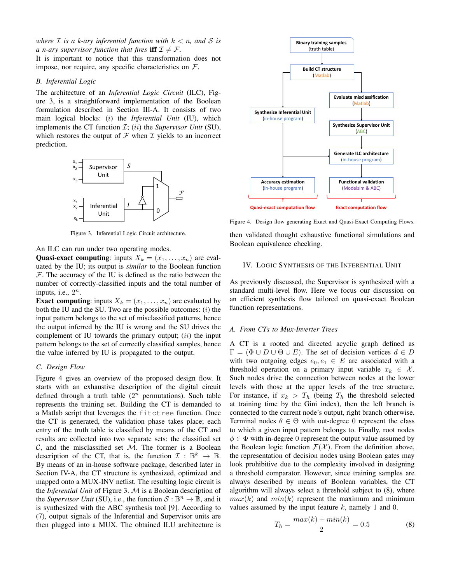*where*  $\mathcal I$  *is a k-ary inferential function with*  $k < n$ *, and*  $\mathcal S$  *is a n*-ary supervisor function that fires iff  $\mathcal{I} \neq \mathcal{F}$ .

It is important to notice that this transformation does not impose, nor require, any specific characteristics on  $\mathcal{F}$ .

# *B. Inferential Logic*

The architecture of an *Inferential Logic Circuit* (ILC), Figure 3, is a straightforward implementation of the Boolean formulation described in Section III-A. It consists of two main logical blocks: (i) the *Inferential Unit* (IU), which implements the CT function  $I$ ;  $(ii)$  the *Supervisor Unit* (SU), which restores the output of  $\mathcal F$  when  $\mathcal I$  yields to an incorrect prediction.



Figure 3. Inferential Logic Circuit architecture.

An ILC can run under two operating modes.

**Quasi-exact computing:** inputs  $X_k = (x_1, \ldots, x_n)$  are evaluated by the IU; its output is *similar* to the Boolean function  $F$ . The accuracy of the IU is defined as the ratio between the number of correctly-classified inputs and the total number of inputs, i.e.,  $2^n$ .

**Exact computing:** inputs  $X_k = (x_1, \ldots, x_n)$  are evaluated by both the IU and the SU. Two are the possible outcomes:  $(i)$  the input pattern belongs to the set of misclassified patterns, hence the output inferred by the IU is wrong and the SU drives the complement of IU towards the primary output;  $(ii)$  the input pattern belongs to the set of correctly classified samples, hence the value inferred by IU is propagated to the output.

# *C. Design Flow*

Figure 4 gives an overview of the proposed design flow. It starts with an exhaustive description of the digital circuit defined through a truth table  $(2^n$  permutations). Such table represents the training set. Building the CT is demanded to a Matlab script that leverages the fitctree function. Once the CT is generated, the validation phase takes place; each entry of the truth table is classified by means of the CT and results are collected into two separate sets: the classified set  $C$ , and the misclassified set  $M$ . The former is a Boolean description of the CT, that is, the function  $\mathcal{I}: \mathbb{B}^k \to \mathbb{B}$ . By means of an in-house software package, described later in Section IV-A, the CT structure is synthesized, optimized and mapped onto a MUX-INV netlist. The resulting logic circuit is the *Inferential Unit* of Figure 3. M is a Boolean description of the *Supervisor Unit* (SU), i.e., the function  $S : \mathbb{B}^n \to \mathbb{B}$ , and it is synthesized with the ABC synthesis tool [9]. According to (7), output signals of the Inferential and Supervisor units are then plugged into a MUX. The obtained ILU architecture is



Figure 4. Design flow generating Exact and Quasi-Exact Computing Flows.

then validated thought exhaustive functional simulations and Boolean equivalence checking.

#### IV. LOGIC SYNTHESIS OF THE INFERENTIAL UNIT

As previously discussed, the Supervisor is synthesized with a standard multi-level flow. Here we focus our discussion on an efficient synthesis flow tailored on quasi-exact Boolean function representations.

#### *A. From CTs to Mux-Inverter Trees*

A CT is a rooted and directed acyclic graph defined as  $\Gamma = (\Phi \cup D \cup \Theta \cup E)$ . The set of decision vertices  $d \in D$ with two outgoing edges  $e_0, e_1 \in E$  are associated with a threshold operation on a primary input variable  $x_k \in \mathcal{X}$ . Such nodes drive the connection between nodes at the lower levels with those at the upper levels of the tree structure. For instance, if  $x_k > T_h$  (being  $T_h$  the threshold selected at training time by the Gini index), then the left branch is connected to the current node's output, right branch otherwise. Terminal nodes  $\theta \in \Theta$  with out-degree 0 represent the class to which a given input pattern belongs to. Finally, root nodes  $\phi \in \Phi$  with in-degree 0 represent the output value assumed by the Boolean logic function  $\mathcal{F}(\mathcal{X})$ . From the definition above, the representation of decision nodes using Boolean gates may look prohibitive due to the complexity involved in designing a threshold comparator. However, since training samples are always described by means of Boolean variables, the CT algorithm will always select a threshold subject to (8), where  $max(k)$  and  $min(k)$  represent the maximum and minimum values assumed by the input feature  $k$ , namely 1 and 0.

$$
T_h = \frac{max(k) + min(k)}{2} = 0.5
$$
 (8)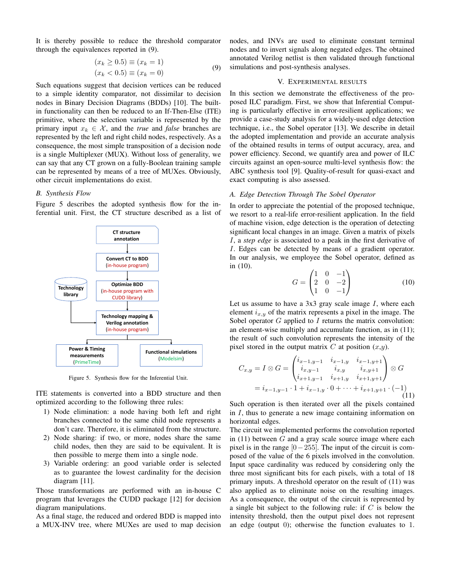It is thereby possible to reduce the threshold comparator through the equivalences reported in (9).

$$
(x_k \ge 0.5) \equiv (x_k = 1) (x_k < 0.5) \equiv (x_k = 0)
$$
\n(9)

Such equations suggest that decision vertices can be reduced to a simple identity comparator, not dissimilar to decision nodes in Binary Decision Diagrams (BDDs) [10]. The builtin functionality can then be reduced to an If-Then-Else (ITE) primitive, where the selection variable is represented by the primary input  $x_k \in \mathcal{X}$ , and the *true* and *false* branches are represented by the left and right child nodes, respectively. As a consequence, the most simple transposition of a decision node is a single Multiplexer (MUX). Without loss of generality, we can say that any CT grown on a fully-Boolean training sample can be represented by means of a tree of MUXes. Obviously, other circuit implementations do exist.

# *B. Synthesis Flow*

Figure 5 describes the adopted synthesis flow for the inferential unit. First, the CT structure described as a list of



Figure 5. Synthesis flow for the Inferential Unit.

ITE statements is converted into a BDD structure and then optimized according to the following three rules:

- 1) Node elimination: a node having both left and right branches connected to the same child node represents a don't care. Therefore, it is eliminated from the structure.
- 2) Node sharing: if two, or more, nodes share the same child nodes, then they are said to be equivalent. It is then possible to merge them into a single node.
- 3) Variable ordering: an good variable order is selected as to guarantee the lowest cardinality for the decision diagram [11].

Those transformations are performed with an in-house C program that leverages the CUDD package [12] for decision diagram manipulations.

As a final stage, the reduced and ordered BDD is mapped into a MUX-INV tree, where MUXes are used to map decision

nodes, and INVs are used to eliminate constant terminal nodes and to invert signals along negated edges. The obtained annotated Verilog netlist is then validated through functional simulations and post-synthesis analyses.

# V. EXPERIMENTAL RESULTS

In this section we demonstrate the effectiveness of the proposed ILC paradigm. First, we show that Inferential Computing is particularly effective in error-resilient applications; we provide a case-study analysis for a widely-used edge detection technique, i.e., the Sobel operator [13]. We describe in detail the adopted implementation and provide an accurate analysis of the obtained results in terms of output accuracy, area, and power efficiency. Second, we quantify area and power of ILC circuits against an open-source multi-level synthesis flow: the ABC synthesis tool [9]. Quality-of-result for quasi-exact and exact computing is also assessed.

### *A. Edge Detection Through The Sobel Operator*

In order to appreciate the potential of the proposed technique, we resort to a real-life error-resilient application. In the field of machine vision, edge detection is the operation of detecting significant local changes in an image. Given a matrix of pixels I, a *step edge* is associated to a peak in the first derivative of I. Edges can be detected by means of a gradient operator. In our analysis, we employee the Sobel operator, defined as in (10).

$$
G = \begin{pmatrix} 1 & 0 & -1 \\ 2 & 0 & -2 \\ 1 & 0 & -1 \end{pmatrix}
$$
 (10)

Let us assume to have a  $3x3$  gray scale image  $I$ , where each element  $i_{x,y}$  of the matrix represents a pixel in the image. The Sobel operator  $G$  applied to  $I$  returns the matrix convolution: an element-wise multiply and accumulate function, as in (11); the result of such convolution represents the intensity of the pixel stored in the output matrix  $C$  at position  $(x,y)$ .

$$
C_{x,y} = I \otimes G = \begin{pmatrix} i_{x-1,y-1} & i_{x-1,y} & i_{x-1,y+1} \\ i_{x,y-1} & i_{x,y} & i_{x,y+1} \\ i_{x+1,y-1} & i_{x+1,y} & i_{x+1,y+1} \end{pmatrix} \otimes G
$$
  
=  $i_{x-1,y-1} \cdot 1 + i_{x-1,y} \cdot 0 + \dots + i_{x+1,y+1} \cdot (-1)$  (11)

Such operation is then iterated over all the pixels contained in I, thus to generate a new image containing information on horizontal edges.

The circuit we implemented performs the convolution reported in  $(11)$  between G and a gray scale source image where each pixel is in the range  $[0-255]$ . The input of the circuit is composed of the value of the 6 pixels involved in the convolution. Input space cardinality was reduced by considering only the three most significant bits for each pixels, with a total of 18 primary inputs. A threshold operator on the result of (11) was also applied as to eliminate noise on the resulting images. As a consequence, the output of the circuit is represented by a single bit subject to the following rule: if  $C$  is below the intensity threshold, then the output pixel does not represent an edge (output 0); otherwise the function evaluates to 1.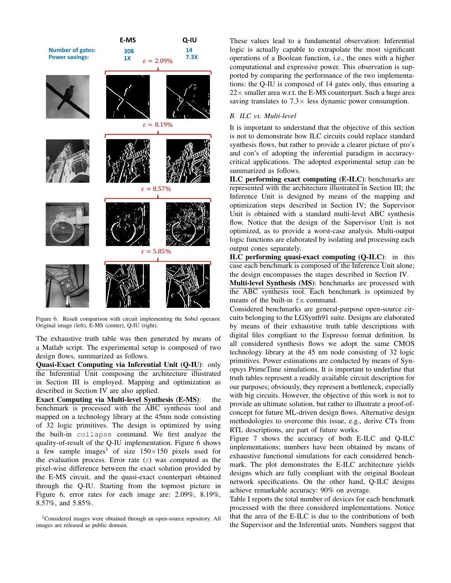

Figure 6. Result comparison with circuit implementing the Sobel operator. Original image (left), E-MS (center), Q-IU (right).

The exhaustive truth table was then generated by means of a Matlab script. The experimental setup is composed of two design flows, summarized as follows.

Quasi-Exact Computing via Inferential Unit (Q-IU): only the Inferential Unit composing the architecture illustrated in Section III is employed. Mapping and optimization as described in Section IV are also applied.

Exact Computing via Multi-level Synthesis (E-MS): the benchmark is processed with the ABC synthesis tool and mapped on a technology library at the 45nm node consisting of 32 logic primitives. The design is optimized by using the built-in collapse command. We first analyze the quality-of-result of the Q-IU implementation. Figure 6 shows a few sample images<sup>1</sup> of size  $150 \times 150$  pixels used for the evaluation process. Error rate  $(\varepsilon)$  was computed as the pixel-wise difference between the exact solution provided by the E-MS circuit, and the quasi-exact counterpart obtained through the Q-IU. Starting from the topmost picture in Figure 6, error rates for each image are: 2.09%, 8.19%, 8.57%, and 5.85%.

These values lead to a fundamental observation: Inferential logic is actually capable to extrapolate the most significant operations of a Boolean function, i.e., the ones with a higher computational and expressive power. This observation is supported by comparing the performance of the two implementations: the Q-IU is composed of 14 gates only, thus ensuring a  $22 \times$  smaller area w.r.t. the E-MS counterpart. Such a huge area saving translates to  $7.3 \times$  less dynamic power consumption.

# *B. ILC vs. Multi-level*

It is important to understand that the objective of this section is not to demonstrate how ILC circuits could replace standard synthesis flows, but rather to provide a clearer picture of pro's and con's of adopting the inferential paradigm in accuracycritical applications. The adopted experimental setup can be summarized as follows.

ILC performing exact computing (E-ILC): benchmarks are represented with the architecture illustrated in Section III; the Inference Unit is designed by means of the mapping and optimization steps described in Section IV; the Supervisor Unit is obtained with a standard multi-level ABC synthesis flow. Notice that the design of the Supervisor Unit is not optimized, as to provide a worst-case analysis. Multi-output logic functions are elaborated by isolating and processing each output cones separately.

ILC performing quasi-exact computing (Q-ILC): in this case each benchmark is composed of the Inference Unit alone; the design encompasses the stages described in Section IV.

Multi-level Synthesis (MS): benchmarks are processed with the ABC synthesis tool. Each benchmark is optimized by means of the built-in fx command.

Considered benchmarks are general-purpose open-source circuits belonging to the LGSynth91 suite. Designs are elaborated by means of their exhaustive truth table descriptions with digital files compliant to the Espresso format definition. In all considered synthesis flows we adopt the same CMOS technology library at the 45 nm node consisting of 32 logic primitives. Power estimations are conducted by means of Synopsys PrimeTime simulations. It is important to underline that truth tables represent a readily available circuit description for our purposes; obviously, they represent a bottleneck, especially with big circuits. However, the objective of this work is not to provide an ultimate solution, but rather to illustrate a proof-ofconcept for future ML-driven design flows. Alternative design methodologies to overcome this issue, e.g., derive CTs from RTL descriptions, are part of future works.

Figure 7 shows the accuracy of both E-ILC and Q-ILC implementations; numbers have been obtained by means of exhaustive functional simulations for each considered benchmark. The plot demonstrates the E-ILC architecture yields designs which are fully compliant with the original Boolean network specifications. On the other hand, Q-ILC designs achieve remarkable accuracy: 90% on average.

Table I reports the total number of devices for each benchmark processed with the three considered implementations. Notice that the area of the E-ILC is due to the contributions of both the Supervisor and the Inferential units. Numbers suggest that

<sup>&</sup>lt;sup>1</sup>Considered images were obtained through an open-source repository. All images are released as public domain.